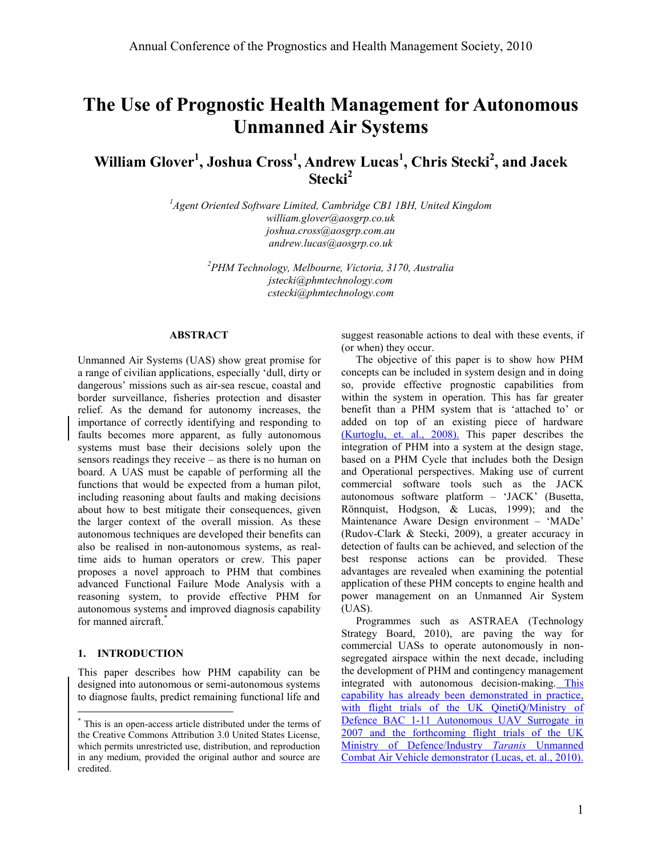# **The Use of Prognostic Health Management for Autonomous Unmanned Air Systems**

**William Glover<sup>1</sup> , Joshua Cross<sup>1</sup> , Andrew Lucas<sup>1</sup> , Chris Stecki<sup>2</sup> , and Jacek Stecki<sup>2</sup>**

> *<sup>1</sup>Agent Oriented Software Limited, Cambridge CB1 1BH, United Kingdom william.glover@aosgrp.co.uk joshua.cross@aosgrp.com.au andrew.lucas@aosgrp.co.uk*

> > *<sup>2</sup>PHM Technology, Melbourne, Victoria, 3170, Australia jstecki@phmtechnology.com cstecki@phmtechnology.com*

#### **ABSTRACT**

Unmanned Air Systems (UAS) show great promise for a range of civilian applications, especially "dull, dirty or dangerous' missions such as air-sea rescue, coastal and border surveillance, fisheries protection and disaster relief. As the demand for autonomy increases, the importance of correctly identifying and responding to faults becomes more apparent, as fully autonomous systems must base their decisions solely upon the sensors readings they receive – as there is no human on board. A UAS must be capable of performing all the functions that would be expected from a human pilot, including reasoning about faults and making decisions about how to best mitigate their consequences, given the larger context of the overall mission. As these autonomous techniques are developed their benefits can also be realised in non-autonomous systems, as realtime aids to human operators or crew. This paper proposes a novel approach to PHM that combines advanced Functional Failure Mode Analysis with a reasoning system, to provide effective PHM for autonomous systems and improved diagnosis capability for manned aircraft.<sup>\*</sup>

#### **1. INTRODUCTION**

 $\overline{a}$ 

This paper describes how PHM capability can be designed into autonomous or semi-autonomous systems to diagnose faults, predict remaining functional life and suggest reasonable actions to deal with these events, if (or when) they occur.

The objective of this paper is to show how PHM concepts can be included in system design and in doing so, provide effective prognostic capabilities from within the system in operation. This has far greater benefit than a PHM system that is 'attached to' or added on top of an existing piece of hardware (Kurtoglu, et. al., 2008). This paper describes the integration of PHM into a system at the design stage, based on a PHM Cycle that includes both the Design and Operational perspectives. Making use of current commercial software tools such as the JACK autonomous software platform – "JACK" (Busetta, Rönnquist, Hodgson, & Lucas, 1999); and the Maintenance Aware Design environment – "MADe" (Rudov-Clark & Stecki, 2009), a greater accuracy in detection of faults can be achieved, and selection of the best response actions can be provided. These advantages are revealed when examining the potential application of these PHM concepts to engine health and power management on an Unmanned Air System (UAS).

Programmes such as ASTRAEA (Technology Strategy Board, 2010), are paving the way for commercial UASs to operate autonomously in nonsegregated airspace within the next decade, including the development of PHM and contingency management integrated with autonomous decision-making. This capability has already been demonstrated in practice, with flight trials of the UK QinetiQ/Ministry of Defence BAC 1-11 Autonomous UAV Surrogate in 2007 and the forthcoming flight trials of the UK Ministry of Defence/Industry *Taranis* Unmanned Combat Air Vehicle demonstrator (Lucas, et. al., 2010).

<sup>\*</sup> This is an open-access article distributed under the terms of the Creative Commons Attribution 3.0 United States License, which permits unrestricted use, distribution, and reproduction in any medium, provided the original author and source are credited.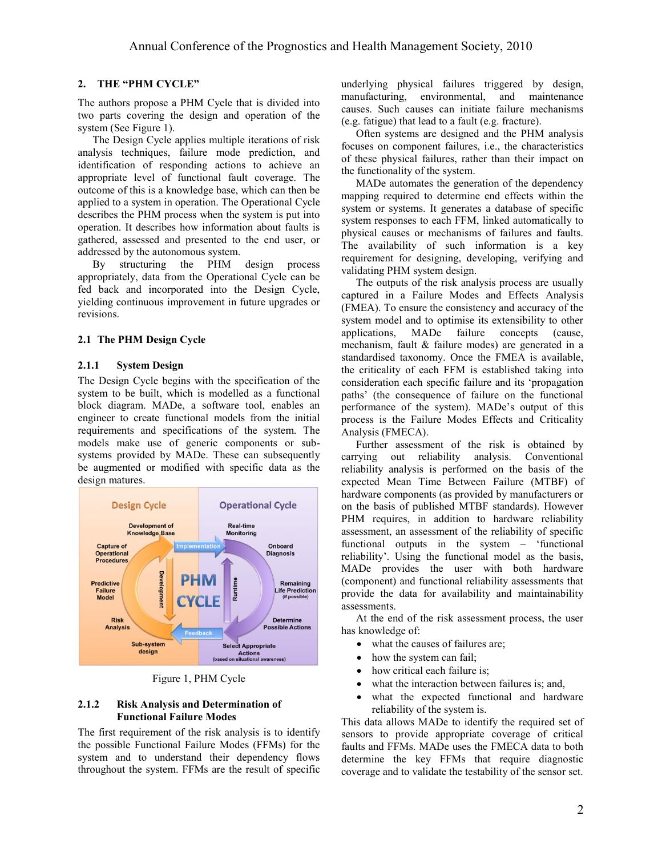## **2. THE "PHM CYCLE"**

The authors propose a PHM Cycle that is divided into two parts covering the design and operation of the system (See Figure 1).

The Design Cycle applies multiple iterations of risk analysis techniques, failure mode prediction, and identification of responding actions to achieve an appropriate level of functional fault coverage. The outcome of this is a knowledge base, which can then be applied to a system in operation. The Operational Cycle describes the PHM process when the system is put into operation. It describes how information about faults is gathered, assessed and presented to the end user, or addressed by the autonomous system.

By structuring the PHM design process appropriately, data from the Operational Cycle can be fed back and incorporated into the Design Cycle, yielding continuous improvement in future upgrades or revisions.

#### **2.1 The PHM Design Cycle**

#### **2.1.1 System Design**

The Design Cycle begins with the specification of the system to be built, which is modelled as a functional block diagram. MADe, a software tool, enables an engineer to create functional models from the initial requirements and specifications of the system. The models make use of generic components or subsystems provided by MADe. These can subsequently be augmented or modified with specific data as the design matures.



Figure 1, PHM Cycle

#### **2.1.2 Risk Analysis and Determination of Functional Failure Modes**

The first requirement of the risk analysis is to identify the possible Functional Failure Modes (FFMs) for the system and to understand their dependency flows throughout the system. FFMs are the result of specific underlying physical failures triggered by design, manufacturing, environmental, and maintenance causes. Such causes can initiate failure mechanisms (e.g. fatigue) that lead to a fault (e.g. fracture).

Often systems are designed and the PHM analysis focuses on component failures, i.e., the characteristics of these physical failures, rather than their impact on the functionality of the system.

MADe automates the generation of the dependency mapping required to determine end effects within the system or systems. It generates a database of specific system responses to each FFM, linked automatically to physical causes or mechanisms of failures and faults. The availability of such information is a key requirement for designing, developing, verifying and validating PHM system design.

The outputs of the risk analysis process are usually captured in a Failure Modes and Effects Analysis (FMEA). To ensure the consistency and accuracy of the system model and to optimise its extensibility to other<br>applications, MADe failure concepts (cause, applications, MADe failure concepts (cause, mechanism, fault & failure modes) are generated in a standardised taxonomy. Once the FMEA is available, the criticality of each FFM is established taking into consideration each specific failure and its "propagation paths" (the consequence of failure on the functional performance of the system). MADe"s output of this process is the Failure Modes Effects and Criticality Analysis (FMECA).

Further assessment of the risk is obtained by carrying out reliability analysis. Conventional reliability analysis is performed on the basis of the expected Mean Time Between Failure (MTBF) of hardware components (as provided by manufacturers or on the basis of published MTBF standards). However PHM requires, in addition to hardware reliability assessment, an assessment of the reliability of specific functional outputs in the system – "functional reliability". Using the functional model as the basis, MADe provides the user with both hardware (component) and functional reliability assessments that provide the data for availability and maintainability assessments.

At the end of the risk assessment process, the user has knowledge of:

- what the causes of failures are;
- how the system can fail;
- how critical each failure is;
- what the interaction between failures is; and,
- what the expected functional and hardware reliability of the system is.

This data allows MADe to identify the required set of sensors to provide appropriate coverage of critical faults and FFMs. MADe uses the FMECA data to both determine the key FFMs that require diagnostic coverage and to validate the testability of the sensor set.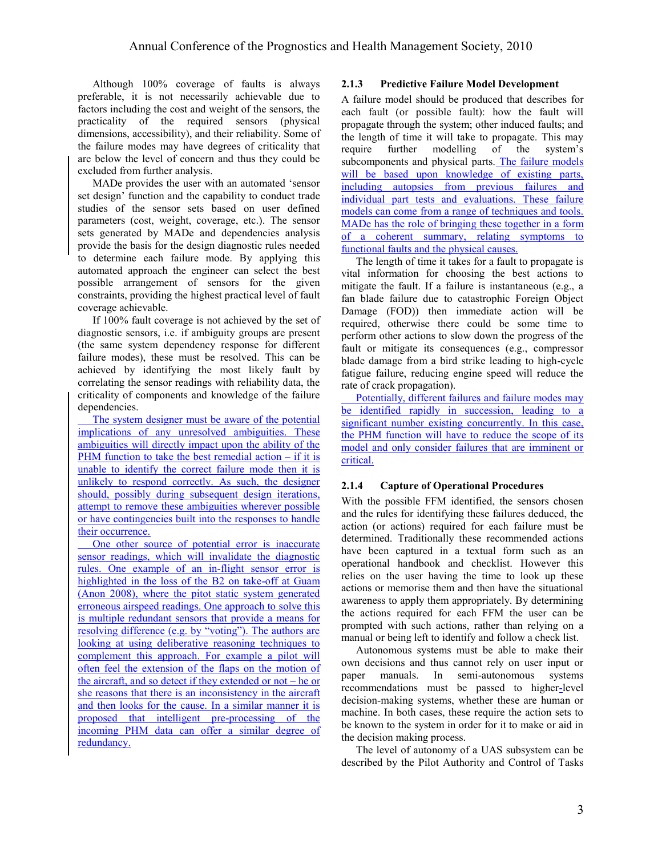Although 100% coverage of faults is always preferable, it is not necessarily achievable due to factors including the cost and weight of the sensors, the practicality of the required sensors (physical dimensions, accessibility), and their reliability. Some of the failure modes may have degrees of criticality that are below the level of concern and thus they could be excluded from further analysis.

MADe provides the user with an automated "sensor set design' function and the capability to conduct trade studies of the sensor sets based on user defined parameters (cost, weight, coverage, etc.). The sensor sets generated by MADe and dependencies analysis provide the basis for the design diagnostic rules needed to determine each failure mode. By applying this automated approach the engineer can select the best possible arrangement of sensors for the given constraints, providing the highest practical level of fault coverage achievable.

If 100% fault coverage is not achieved by the set of diagnostic sensors, i.e. if ambiguity groups are present (the same system dependency response for different failure modes), these must be resolved. This can be achieved by identifying the most likely fault by correlating the sensor readings with reliability data, the criticality of components and knowledge of the failure dependencies.

The system designer must be aware of the potential implications of any unresolved ambiguities. These ambiguities will directly impact upon the ability of the PHM function to take the best remedial action – if it is unable to identify the correct failure mode then it is unlikely to respond correctly. As such, the designer should, possibly during subsequent design iterations, attempt to remove these ambiguities wherever possible or have contingencies built into the responses to handle their occurrence.

One other source of potential error is inaccurate sensor readings, which will invalidate the diagnostic rules. One example of an in-flight sensor error is highlighted in the loss of the B2 on take-off at Guam (Anon 2008), where the pitot static system generated erroneous airspeed readings. One approach to solve this is multiple redundant sensors that provide a means for resolving difference (e.g. by "voting"). The authors are looking at using deliberative reasoning techniques to complement this approach. For example a pilot will often feel the extension of the flaps on the motion of the aircraft, and so detect if they extended or not – he or she reasons that there is an inconsistency in the aircraft and then looks for the cause. In a similar manner it is proposed that intelligent pre-processing of the incoming PHM data can offer a similar degree of redundancy.

## **2.1.3 Predictive Failure Model Development**

A failure model should be produced that describes for each fault (or possible fault): how the fault will propagate through the system; other induced faults; and the length of time it will take to propagate. This may require further modelling of the system"s subcomponents and physical parts. The failure models will be based upon knowledge of existing parts, including autopsies from previous failures and individual part tests and evaluations. These failure models can come from a range of techniques and tools. MADe has the role of bringing these together in a form of a coherent summary, relating symptoms to functional faults and the physical causes.

The length of time it takes for a fault to propagate is vital information for choosing the best actions to mitigate the fault. If a failure is instantaneous (e.g., a fan blade failure due to catastrophic Foreign Object Damage (FOD)) then immediate action will be required, otherwise there could be some time to perform other actions to slow down the progress of the fault or mitigate its consequences (e.g., compressor blade damage from a bird strike leading to high-cycle fatigue failure, reducing engine speed will reduce the rate of crack propagation).

Potentially, different failures and failure modes may be identified rapidly in succession, leading to a significant number existing concurrently. In this case, the PHM function will have to reduce the scope of its model and only consider failures that are imminent or critical.

## **2.1.4 Capture of Operational Procedures**

With the possible FFM identified, the sensors chosen and the rules for identifying these failures deduced, the action (or actions) required for each failure must be determined. Traditionally these recommended actions have been captured in a textual form such as an operational handbook and checklist. However this relies on the user having the time to look up these actions or memorise them and then have the situational awareness to apply them appropriately. By determining the actions required for each FFM the user can be prompted with such actions, rather than relying on a manual or being left to identify and follow a check list.

Autonomous systems must be able to make their own decisions and thus cannot rely on user input or paper manuals. In semi-autonomous systems recommendations must be passed to higher-level decision-making systems, whether these are human or machine. In both cases, these require the action sets to be known to the system in order for it to make or aid in the decision making process.

The level of autonomy of a UAS subsystem can be described by the Pilot Authority and Control of Tasks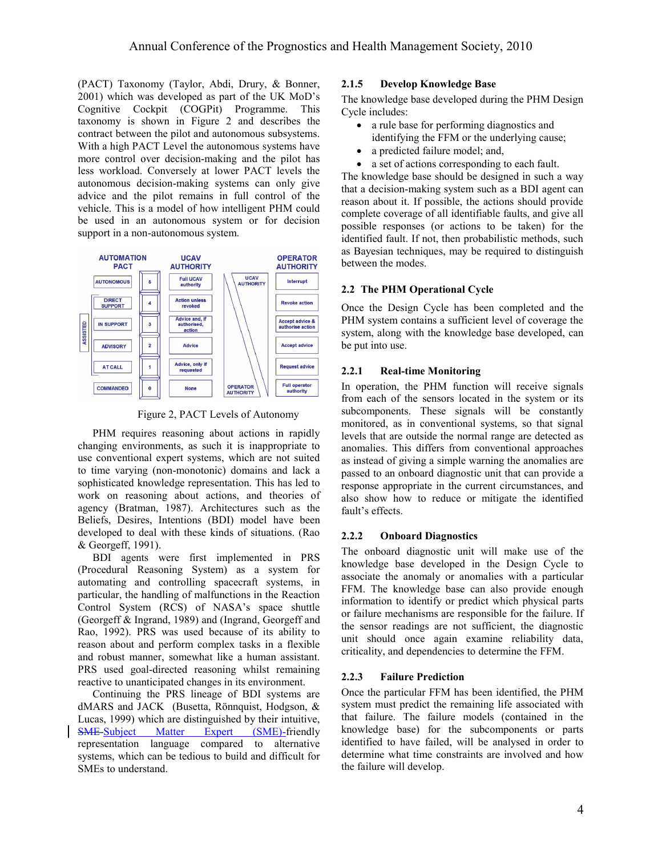(PACT) Taxonomy (Taylor, Abdi, Drury, & Bonner, 2001) which was developed as part of the UK MoD"s Cognitive Cockpit (COGPit) Programme. This taxonomy is shown in [Figure 2](#page-3-0) and describes the contract between the pilot and autonomous subsystems. With a high PACT Level the autonomous systems have more control over decision-making and the pilot has less workload. Conversely at lower PACT levels the autonomous decision-making systems can only give advice and the pilot remains in full control of the vehicle. This is a model of how intelligent PHM could be used in an autonomous system or for decision support in a non-autonomous system.



<span id="page-3-0"></span>Figure 2, PACT Levels of Autonomy

PHM requires reasoning about actions in rapidly changing environments, as such it is inappropriate to use conventional expert systems, which are not suited to time varying (non-monotonic) domains and lack a sophisticated knowledge representation. This has led to work on reasoning about actions, and theories of agency (Bratman, 1987). Architectures such as the Beliefs, Desires, Intentions (BDI) model have been developed to deal with these kinds of situations. (Rao & Georgeff, 1991).

BDI agents were first implemented in PRS (Procedural Reasoning System) as a system for automating and controlling spacecraft systems, in particular, the handling of malfunctions in the Reaction Control System (RCS) of NASA"s space shuttle (Georgeff & Ingrand, 1989) and (Ingrand, Georgeff and Rao, 1992). PRS was used because of its ability to reason about and perform complex tasks in a flexible and robust manner, somewhat like a human assistant. PRS used goal-directed reasoning whilst remaining reactive to unanticipated changes in its environment.

Continuing the PRS lineage of BDI systems are dMARS and JACK (Busetta, Rönnquist, Hodgson, & Lucas, 1999) which are distinguished by their intuitive, SME-Subject Matter Expert (SME)-friendly representation language compared to alternative systems, which can be tedious to build and difficult for SMEs to understand.

#### **2.1.5 Develop Knowledge Base**

The knowledge base developed during the PHM Design Cycle includes:

- a rule base for performing diagnostics and identifying the FFM or the underlying cause;
- a predicted failure model; and,
- a set of actions corresponding to each fault.

The knowledge base should be designed in such a way that a decision-making system such as a BDI agent can reason about it. If possible, the actions should provide complete coverage of all identifiable faults, and give all possible responses (or actions to be taken) for the identified fault. If not, then probabilistic methods, such as Bayesian techniques, may be required to distinguish between the modes.

## **2.2 The PHM Operational Cycle**

Once the Design Cycle has been completed and the PHM system contains a sufficient level of coverage the system, along with the knowledge base developed, can be put into use.

#### **2.2.1 Real-time Monitoring**

In operation, the PHM function will receive signals from each of the sensors located in the system or its subcomponents. These signals will be constantly monitored, as in conventional systems, so that signal levels that are outside the normal range are detected as anomalies. This differs from conventional approaches as instead of giving a simple warning the anomalies are passed to an onboard diagnostic unit that can provide a response appropriate in the current circumstances, and also show how to reduce or mitigate the identified fault's effects.

## **2.2.2 Onboard Diagnostics**

The onboard diagnostic unit will make use of the knowledge base developed in the Design Cycle to associate the anomaly or anomalies with a particular FFM. The knowledge base can also provide enough information to identify or predict which physical parts or failure mechanisms are responsible for the failure. If the sensor readings are not sufficient, the diagnostic unit should once again examine reliability data, criticality, and dependencies to determine the FFM.

## **2.2.3 Failure Prediction**

Once the particular FFM has been identified, the PHM system must predict the remaining life associated with that failure. The failure models (contained in the knowledge base) for the subcomponents or parts identified to have failed, will be analysed in order to determine what time constraints are involved and how the failure will develop.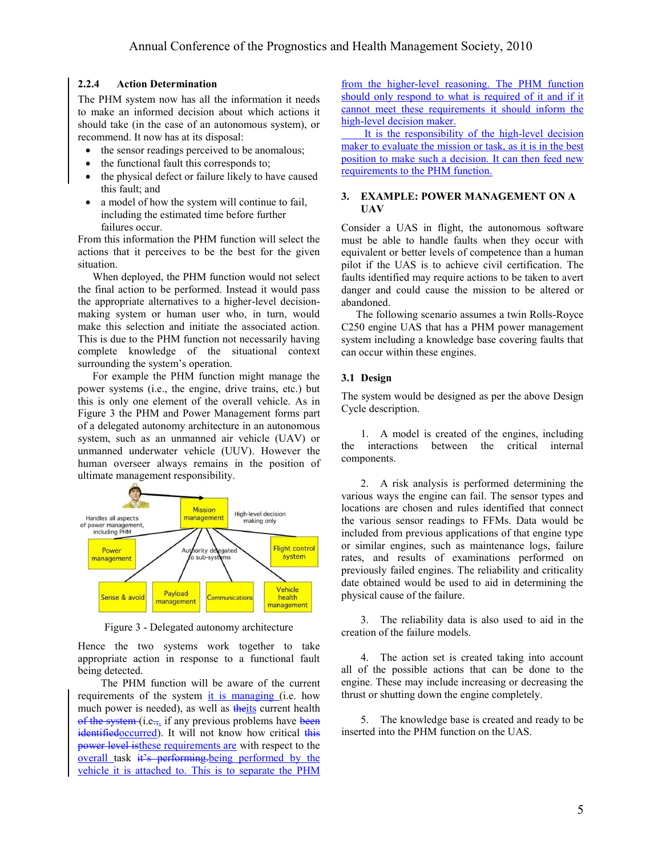#### **2.2.4 Action Determination**

The PHM system now has all the information it needs to make an informed decision about which actions it should take (in the case of an autonomous system), or recommend. It now has at its disposal:

- the sensor readings perceived to be anomalous;
- the functional fault this corresponds to;
- the physical defect or failure likely to have caused this fault; and
- a model of how the system will continue to fail, including the estimated time before further failures occur.

From this information the PHM function will select the actions that it perceives to be the best for the given situation.

When deployed, the PHM function would not select the final action to be performed. Instead it would pass the appropriate alternatives to a higher-level decisionmaking system or human user who, in turn, would make this selection and initiate the associated action. This is due to the PHM function not necessarily having complete knowledge of the situational context surrounding the system's operation.

For example the PHM function might manage the power systems (i.e., the engine, drive trains, etc.) but this is only one element of the overall vehicle. As in [Figure 3](#page-4-0) the PHM and Power Management forms part of a delegated autonomy architecture in an autonomous system, such as an unmanned air vehicle (UAV) or unmanned underwater vehicle (UUV). However the human overseer always remains in the position of ultimate management responsibility.



Figure 3 - Delegated autonomy architecture

<span id="page-4-0"></span>Hence the two systems work together to take appropriate action in response to a functional fault being detected.

The PHM function will be aware of the current requirements of the system it is managing (i.e. how much power is needed), as well as theits current health of the system  $(i.e., if any previous problems have been$ identifiedoccurred). It will not know how critical this power level isthese requirements are with respect to the overall task it's performing-being performed by the vehicle it is attached to. This is to separate the PHM from the higher-level reasoning. The PHM function should only respond to what is required of it and if it cannot meet these requirements it should inform the high-level decision maker.

It is the responsibility of the high-level decision maker to evaluate the mission or task, as it is in the best position to make such a decision. It can then feed new requirements to the PHM function.

## **3. EXAMPLE: POWER MANAGEMENT ON A UAV**

Consider a UAS in flight, the autonomous software must be able to handle faults when they occur with equivalent or better levels of competence than a human pilot if the UAS is to achieve civil certification. The faults identified may require actions to be taken to avert danger and could cause the mission to be altered or abandoned.

The following scenario assumes a twin Rolls-Royce C250 engine UAS that has a PHM power management system including a knowledge base covering faults that can occur within these engines.

## **3.1 Design**

The system would be designed as per the above Design Cycle description.

1. A model is created of the engines, including the interactions between the critical internal components.

2. A risk analysis is performed determining the various ways the engine can fail. The sensor types and locations are chosen and rules identified that connect the various sensor readings to FFMs. Data would be included from previous applications of that engine type or similar engines, such as maintenance logs, failure rates, and results of examinations performed on previously failed engines. The reliability and criticality date obtained would be used to aid in determining the physical cause of the failure.

3. The reliability data is also used to aid in the creation of the failure models.

4. The action set is created taking into account all of the possible actions that can be done to the engine. These may include increasing or decreasing the thrust or shutting down the engine completely.

5. The knowledge base is created and ready to be inserted into the PHM function on the UAS.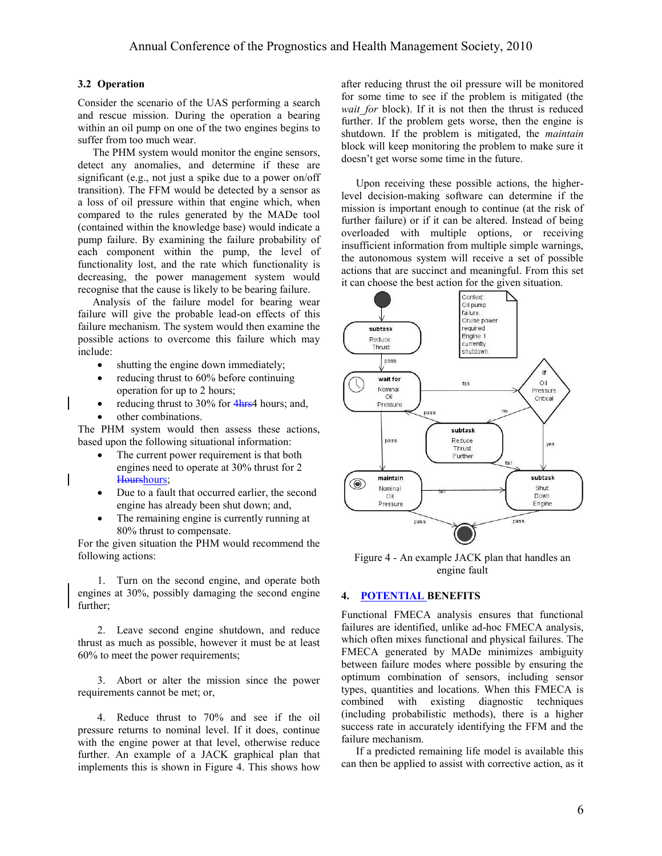## **3.2 Operation**

Consider the scenario of the UAS performing a search and rescue mission. During the operation a bearing within an oil pump on one of the two engines begins to suffer from too much wear.

The PHM system would monitor the engine sensors, detect any anomalies, and determine if these are significant (e.g., not just a spike due to a power on/off transition). The FFM would be detected by a sensor as a loss of oil pressure within that engine which, when compared to the rules generated by the MADe tool (contained within the knowledge base) would indicate a pump failure. By examining the failure probability of each component within the pump, the level of functionality lost, and the rate which functionality is decreasing, the power management system would recognise that the cause is likely to be bearing failure.

Analysis of the failure model for bearing wear failure will give the probable lead-on effects of this failure mechanism. The system would then examine the possible actions to overcome this failure which may include:

- shutting the engine down immediately;
- reducing thrust to 60% before continuing operation for up to 2 hours;
- reducing thrust to  $30\%$  for  $4<sub>hrs4</sub>$  hours; and,
- other combinations.

The PHM system would then assess these actions, based upon the following situational information:

- The current power requirement is that both engines need to operate at 30% thrust for 2 Hourshours;
- Due to a fault that occurred earlier, the second engine has already been shut down; and,
- The remaining engine is currently running at 80% thrust to compensate.

For the given situation the PHM would recommend the following actions:

1. Turn on the second engine, and operate both engines at 30%, possibly damaging the second engine further;

2. Leave second engine shutdown, and reduce thrust as much as possible, however it must be at least 60% to meet the power requirements;

3. Abort or alter the mission since the power requirements cannot be met; or,

4. Reduce thrust to 70% and see if the oil pressure returns to nominal level. If it does, continue with the engine power at that level, otherwise reduce further. An example of a JACK graphical plan that implements this is shown in Figure 4. This shows how after reducing thrust the oil pressure will be monitored for some time to see if the problem is mitigated (the *wait for* block). If it is not then the thrust is reduced further. If the problem gets worse, then the engine is shutdown. If the problem is mitigated, the *maintain* block will keep monitoring the problem to make sure it doesn"t get worse some time in the future.

Upon receiving these possible actions, the higherlevel decision-making software can determine if the mission is important enough to continue (at the risk of further failure) or if it can be altered. Instead of being overloaded with multiple options, or receiving insufficient information from multiple simple warnings, the autonomous system will receive a set of possible actions that are succinct and meaningful. From this set it can choose the best action for the given situation.



Figure 4 - An example JACK plan that handles an engine fault

#### **4. POTENTIAL BENEFITS**

Functional FMECA analysis ensures that functional failures are identified, unlike ad-hoc FMECA analysis, which often mixes functional and physical failures. The FMECA generated by MADe minimizes ambiguity between failure modes where possible by ensuring the optimum combination of sensors, including sensor types, quantities and locations. When this FMECA is combined with existing diagnostic techniques (including probabilistic methods), there is a higher success rate in accurately identifying the FFM and the failure mechanism.

If a predicted remaining life model is available this can then be applied to assist with corrective action, as it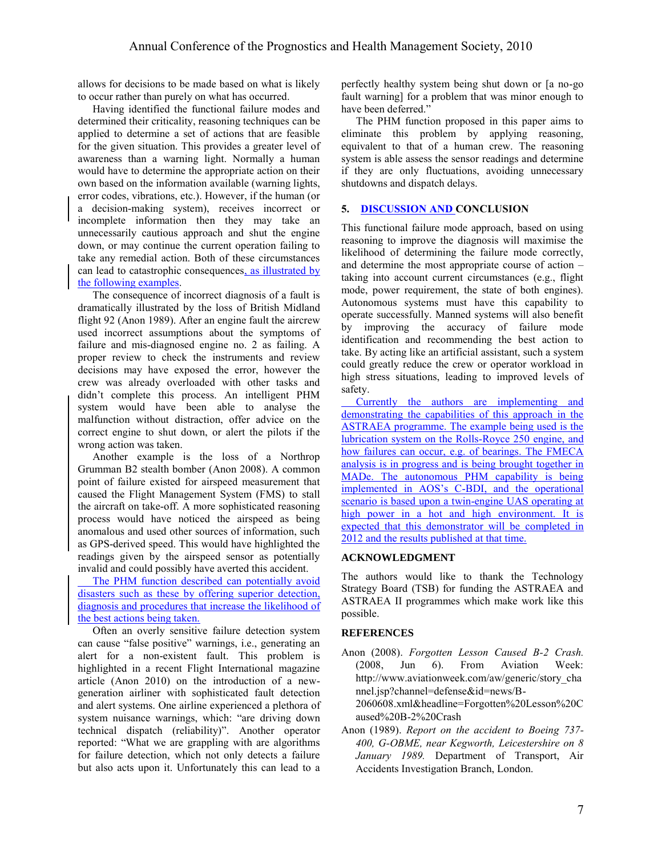allows for decisions to be made based on what is likely to occur rather than purely on what has occurred.

Having identified the functional failure modes and determined their criticality, reasoning techniques can be applied to determine a set of actions that are feasible for the given situation. This provides a greater level of awareness than a warning light. Normally a human would have to determine the appropriate action on their own based on the information available (warning lights, error codes, vibrations, etc.). However, if the human (or a decision-making system), receives incorrect or incomplete information then they may take an unnecessarily cautious approach and shut the engine down, or may continue the current operation failing to take any remedial action. Both of these circumstances can lead to catastrophic consequences, as illustrated by the following examples.

The consequence of incorrect diagnosis of a fault is dramatically illustrated by the loss of British Midland flight 92 (Anon 1989). After an engine fault the aircrew used incorrect assumptions about the symptoms of failure and mis-diagnosed engine no. 2 as failing. A proper review to check the instruments and review decisions may have exposed the error, however the crew was already overloaded with other tasks and didn"t complete this process. An intelligent PHM system would have been able to analyse the malfunction without distraction, offer advice on the correct engine to shut down, or alert the pilots if the wrong action was taken.

Another example is the loss of a Northrop Grumman B2 stealth bomber (Anon 2008). A common point of failure existed for airspeed measurement that caused the Flight Management System (FMS) to stall the aircraft on take-off. A more sophisticated reasoning process would have noticed the airspeed as being anomalous and used other sources of information, such as GPS-derived speed. This would have highlighted the readings given by the airspeed sensor as potentially invalid and could possibly have averted this accident.

The PHM function described can potentially avoid disasters such as these by offering superior detection, diagnosis and procedures that increase the likelihood of the best actions being taken.

Often an overly sensitive failure detection system can cause "false positive" warnings, i.e., generating an alert for a non-existent fault. This problem is highlighted in a recent Flight International magazine article (Anon 2010) on the introduction of a newgeneration airliner with sophisticated fault detection and alert systems. One airline experienced a plethora of system nuisance warnings, which: "are driving down technical dispatch (reliability)". Another operator reported: "What we are grappling with are algorithms for failure detection, which not only detects a failure but also acts upon it. Unfortunately this can lead to a

perfectly healthy system being shut down or [a no-go fault warning] for a problem that was minor enough to have been deferred."

The PHM function proposed in this paper aims to eliminate this problem by applying reasoning, equivalent to that of a human crew. The reasoning system is able assess the sensor readings and determine if they are only fluctuations, avoiding unnecessary shutdowns and dispatch delays.

#### **5. DISCUSSION AND CONCLUSION**

This functional failure mode approach, based on using reasoning to improve the diagnosis will maximise the likelihood of determining the failure mode correctly, and determine the most appropriate course of action – taking into account current circumstances (e.g., flight mode, power requirement, the state of both engines). Autonomous systems must have this capability to operate successfully. Manned systems will also benefit by improving the accuracy of failure mode identification and recommending the best action to take. By acting like an artificial assistant, such a system could greatly reduce the crew or operator workload in high stress situations, leading to improved levels of safety.

Currently the authors are implementing and demonstrating the capabilities of this approach in the ASTRAEA programme. The example being used is the lubrication system on the Rolls-Royce 250 engine, and how failures can occur, e.g. of bearings. The FMECA analysis is in progress and is being brought together in MADe. The autonomous PHM capability is being implemented in AOS"s C-BDI, and the operational scenario is based upon a twin-engine UAS operating at high power in a hot and high environment. It is expected that this demonstrator will be completed in 2012 and the results published at that time.

#### **ACKNOWLEDGMENT**

The authors would like to thank the Technology Strategy Board (TSB) for funding the ASTRAEA and ASTRAEA II programmes which make work like this possible.

## **REFERENCES**

Anon (2008). *Forgotten Lesson Caused B-2 Crash.* (2008, Jun 6). From Aviation Week: http://www.aviationweek.com/aw/generic/story\_cha nnel.jsp?channel=defense&id=news/B-

2060608.xml&headline=Forgotten%20Lesson%20C aused%20B-2%20Crash

Anon (1989). *Report on the accident to Boeing 737- 400, G-OBME, near Kegworth, Leicestershire on 8 January 1989.* Department of Transport, Air Accidents Investigation Branch, London.